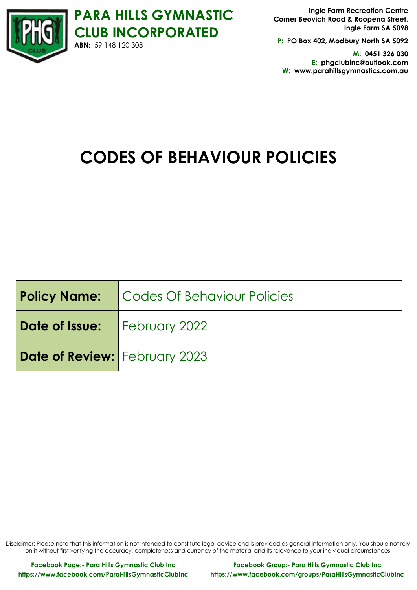

**P: PO Box 402, Modbury North SA 5092**

**M: 0451 326 030 E: phgclubinc@outlook.com W: www.parahillsgymnastics.com.au**

# **CODES OF BEHAVIOUR POLICIES**

|                                      | <b>Policy Name:</b> Codes Of Behaviour Policies |
|--------------------------------------|-------------------------------------------------|
| Date of Issue:   February 2022       |                                                 |
| <b>Date of Review:</b> February 2023 |                                                 |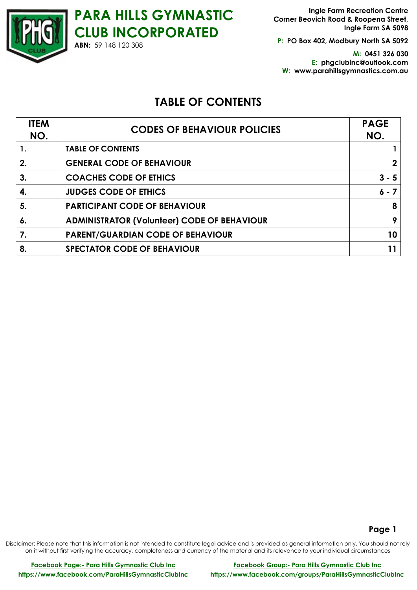**P: PO Box 402, Modbury North SA 5092**

**M: 0451 326 030 E: phgclubinc@outlook.com W: www.parahillsgymnastics.com.au**

# **TABLE OF CONTENTS**

| <b>ITEM</b><br>NO. | <b>CODES OF BEHAVIOUR POLICIES</b>                 | <b>PAGE</b><br>NO. |
|--------------------|----------------------------------------------------|--------------------|
| 1.                 | <b>TABLE OF CONTENTS</b>                           |                    |
| 2.                 | <b>GENERAL CODE OF BEHAVIOUR</b>                   |                    |
| 3.                 | <b>COACHES CODE OF ETHICS</b>                      | $3 - 5$            |
| 4.                 | <b>JUDGES CODE OF ETHICS</b>                       | $6 - 7$            |
| 5.                 | <b>PARTICIPANT CODE OF BEHAVIOUR</b>               | 8                  |
| 6.                 | <b>ADMINISTRATOR (Volunteer) CODE OF BEHAVIOUR</b> | 9                  |
| 7.                 | <b>PARENT/GUARDIAN CODE OF BEHAVIOUR</b>           | 10                 |
| 8.                 | <b>SPECTATOR CODE OF BEHAVIOUR</b>                 |                    |

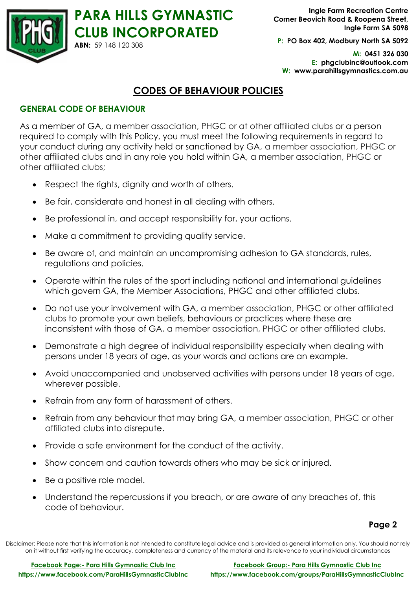

**P: PO Box 402, Modbury North SA 5092**

**M: 0451 326 030 E: phgclubinc@outlook.com W: www.parahillsgymnastics.com.au**

# **CODES OF BEHAVIOUR POLICIES**

# **GENERAL CODE OF BEHAVIOUR**

**ABN:** 59 148 120 308

As a member of GA, a member association, PHGC or at other affiliated clubs or a person required to comply with this Policy, you must meet the following requirements in regard to your conduct during any activity held or sanctioned by GA, a member association, PHGC or other affiliated clubs and in any role you hold within GA, a member association, PHGC or other affiliated clubs;

- Respect the rights, dignity and worth of others.
- Be fair, considerate and honest in all dealing with others.
- Be professional in, and accept responsibility for, your actions.
- Make a commitment to providing quality service.
- Be aware of, and maintain an uncompromising adhesion to GA standards, rules, regulations and policies.
- Operate within the rules of the sport including national and international guidelines which govern GA, the Member Associations, PHGC and other affiliated clubs.
- Do not use your involvement with GA, a member association, PHGC or other affiliated clubs to promote your own beliefs, behaviours or practices where these are inconsistent with those of GA, a member association, PHGC or other affiliated clubs.
- Demonstrate a high degree of individual responsibility especially when dealing with persons under 18 years of age, as your words and actions are an example.
- Avoid unaccompanied and unobserved activities with persons under 18 years of age, wherever possible.
- Refrain from any form of harassment of others.
- Refrain from any behaviour that may bring GA, a member association, PHGC or other affiliated clubs into disrepute.
- Provide a safe environment for the conduct of the activity.
- Show concern and caution towards others who may be sick or injured.
- Be a positive role model.
- Understand the repercussions if you breach, or are aware of any breaches of, this code of behaviour.

**Page 2**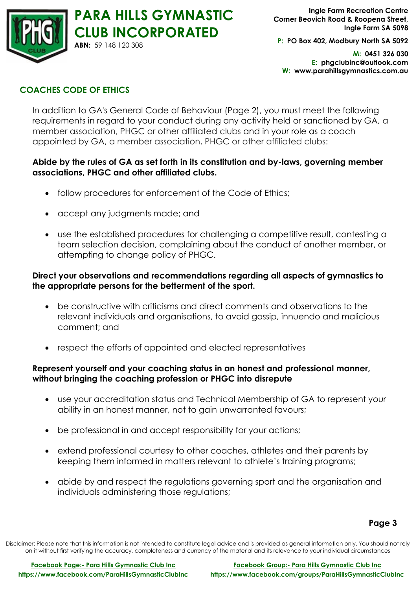

**P: PO Box 402, Modbury North SA 5092**

**M: 0451 326 030 E: phgclubinc@outlook.com W: www.parahillsgymnastics.com.au**

# **COACHES CODE OF ETHICS**

In addition to GA's General Code of Behaviour (Page 2), you must meet the following requirements in regard to your conduct during any activity held or sanctioned by GA, a member association, PHGC or other affiliated clubs and in your role as a coach appointed by GA, a member association, PHGC or other affiliated clubs:

#### **Abide by the rules of GA as set forth in its constitution and by-laws, governing member associations, PHGC and other affiliated clubs.**

- follow procedures for enforcement of the Code of Ethics;
- accept any judgments made; and
- use the established procedures for challenging a competitive result, contesting a team selection decision, complaining about the conduct of another member, or attempting to change policy of PHGC.

# **Direct your observations and recommendations regarding all aspects of gymnastics to the appropriate persons for the betterment of the sport.**

- be constructive with criticisms and direct comments and observations to the relevant individuals and organisations, to avoid gossip, innuendo and malicious comment; and
- respect the efforts of appointed and elected representatives

## **Represent yourself and your coaching status in an honest and professional manner, without bringing the coaching profession or PHGC into disrepute**

- use your accreditation status and Technical Membership of GA to represent your ability in an honest manner, not to gain unwarranted favours;
- be professional in and accept responsibility for your actions;
- extend professional courtesy to other coaches, athletes and their parents by keeping them informed in matters relevant to athlete's training programs;
- abide by and respect the regulations governing sport and the organisation and individuals administering those regulations;

## **Page 3**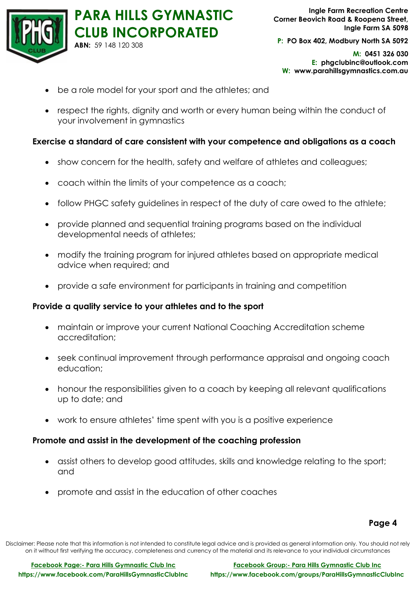

**P: PO Box 402, Modbury North SA 5092**

**M: 0451 326 030 E: phgclubinc@outlook.com W: www.parahillsgymnastics.com.au**

- be a role model for your sport and the athletes; and
- respect the rights, dignity and worth or every human being within the conduct of your involvement in gymnastics

#### **Exercise a standard of care consistent with your competence and obligations as a coach**

- show concern for the health, safety and welfare of athletes and colleagues;
- coach within the limits of your competence as a coach;
- follow PHGC safety guidelines in respect of the duty of care owed to the athlete;
- provide planned and sequential training programs based on the individual developmental needs of athletes;
- modify the training program for injured athletes based on appropriate medical advice when required; and
- provide a safe environment for participants in training and competition

#### **Provide a quality service to your athletes and to the sport**

- maintain or improve your current National Coaching Accreditation scheme accreditation;
- seek continual improvement through performance appraisal and ongoing coach education;
- honour the responsibilities given to a coach by keeping all relevant qualifications up to date; and
- work to ensure athletes' time spent with you is a positive experience

#### **Promote and assist in the development of the coaching profession**

- assist others to develop good attitudes, skills and knowledge relating to the sport; and
- promote and assist in the education of other coaches

#### **Page 4**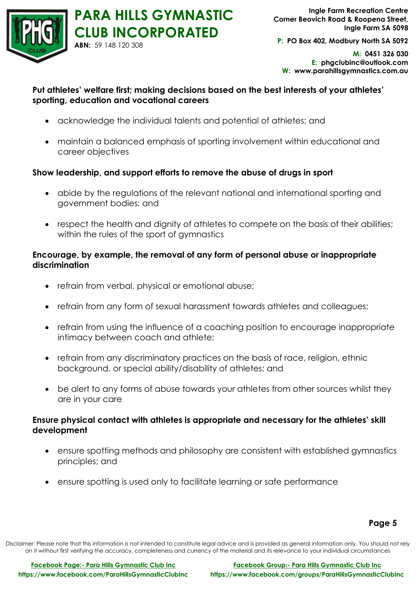

**P: PO Box 402, Modbury North SA 5092**

**M: 0451 326 030 E: phgclubinc@outlook.com W: www.parahillsgymnastics.com.au**

# **Put athletes' welfare first; making decisions based on the best interests of your athletes' sporting, education and vocational careers**

- acknowledge the individual talents and potential of athletes; and
- maintain a balanced emphasis of sporting involvement within educational and career objectives

## **Show leadership, and support efforts to remove the abuse of drugs in sport**

- abide by the regulations of the relevant national and international sporting and government bodies; and
- respect the health and dignity of athletes to compete on the basis of their abilities; within the rules of the sport of gymnastics

# **Encourage, by example, the removal of any form of personal abuse or inappropriate discrimination**

- refrain from verbal, physical or emotional abuse;
- refrain from any form of sexual harassment towards athletes and colleagues;
- refrain from using the influence of a coaching position to encourage inappropriate intimacy between coach and athlete;
- refrain from any discriminatory practices on the basis of race, religion, ethnic background, or special ability/disability of athletes; and
- be alert to any forms of abuse towards your athletes from other sources whilst they are in your care

# **Ensure physical contact with athletes is appropriate and necessary for the athletes' skill development**

- ensure spotting methods and philosophy are consistent with established gymnastics principles; and
- ensure spotting is used only to facilitate learning or safe performance

## **Page 5**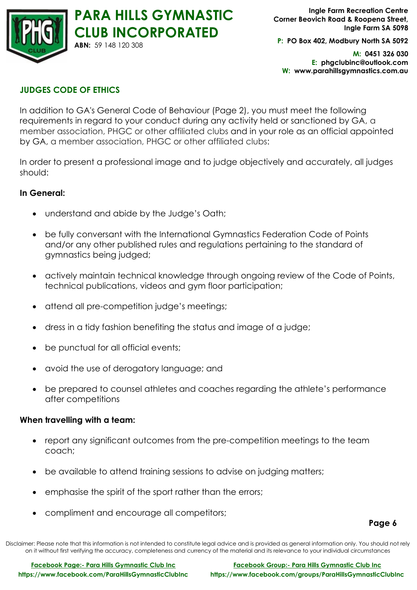

**P: PO Box 402, Modbury North SA 5092**

**M: 0451 326 030 E: phgclubinc@outlook.com W: www.parahillsgymnastics.com.au**

# **JUDGES CODE OF ETHICS**

In addition to GA's General Code of Behaviour (Page 2), you must meet the following requirements in regard to your conduct during any activity held or sanctioned by GA, a member association, PHGC or other affiliated clubs and in your role as an official appointed by GA, a member association, PHGC or other affiliated clubs:

In order to present a professional image and to judge objectively and accurately, all judges should:

#### **In General:**

- understand and abide by the Judge's Oath;
- be fully conversant with the International Gymnastics Federation Code of Points and/or any other published rules and regulations pertaining to the standard of gymnastics being judged;
- actively maintain technical knowledge through ongoing review of the Code of Points, technical publications, videos and gym floor participation;
- attend all pre-competition judge's meetings;
- dress in a tidy fashion benefiting the status and image of a judge;
- be punctual for all official events;
- avoid the use of derogatory language; and
- be prepared to counsel athletes and coaches regarding the athlete's performance after competitions

## **When travelling with a team:**

- report any significant outcomes from the pre-competition meetings to the team coach;
- be available to attend training sessions to advise on judging matters;
- emphasise the spirit of the sport rather than the errors;
- compliment and encourage all competitors;

**Page 6**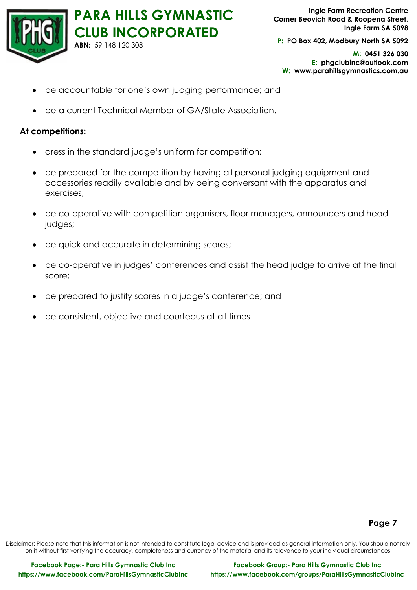

**P: PO Box 402, Modbury North SA 5092**

**M: 0451 326 030 E: phgclubinc@outlook.com W: www.parahillsgymnastics.com.au**

- be accountable for one's own judging performance; and
- be a current Technical Member of GA/State Association.

#### **At competitions:**

- dress in the standard judge's uniform for competition;
- be prepared for the competition by having all personal judging equipment and accessories readily available and by being conversant with the apparatus and exercises;
- be co-operative with competition organisers, floor managers, announcers and head judges;
- be quick and accurate in determining scores;
- be co-operative in judges' conferences and assist the head judge to arrive at the final score;
- be prepared to justify scores in a judge's conference; and
- be consistent, objective and courteous at all times

#### **Page 7**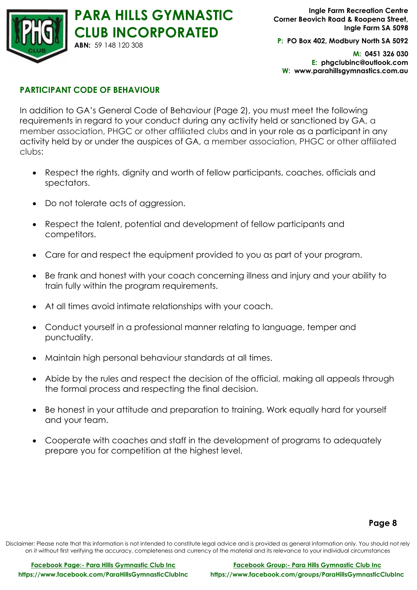

**P: PO Box 402, Modbury North SA 5092**

**M: 0451 326 030 E: phgclubinc@outlook.com W: www.parahillsgymnastics.com.au**

#### **PARTICIPANT CODE OF BEHAVIOUR**

In addition to GA's General Code of Behaviour (Page 2), you must meet the following requirements in regard to your conduct during any activity held or sanctioned by GA, a member association, PHGC or other affiliated clubs and in your role as a participant in any activity held by or under the auspices of GA, a member association, PHGC or other affiliated clubs:

- Respect the rights, dignity and worth of fellow participants, coaches, officials and spectators.
- Do not tolerate acts of aggression.
- Respect the talent, potential and development of fellow participants and competitors.
- Care for and respect the equipment provided to you as part of your program.
- Be frank and honest with your coach concerning illness and injury and your ability to train fully within the program requirements.
- At all times avoid intimate relationships with your coach.
- Conduct yourself in a professional manner relating to language, temper and punctuality.
- Maintain high personal behaviour standards at all times.
- Abide by the rules and respect the decision of the official, making all appeals through the formal process and respecting the final decision.
- Be honest in your attitude and preparation to training. Work equally hard for yourself and your team.
- Cooperate with coaches and staff in the development of programs to adequately prepare you for competition at the highest level.

#### **Page 8**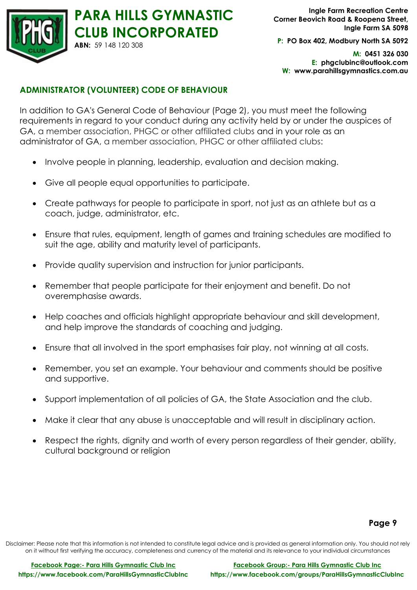

**P: PO Box 402, Modbury North SA 5092**

**M: 0451 326 030 E: phgclubinc@outlook.com W: www.parahillsgymnastics.com.au**

# **ADMINISTRATOR (VOLUNTEER) CODE OF BEHAVIOUR**

In addition to GA's General Code of Behaviour (Page 2), you must meet the following requirements in regard to your conduct during any activity held by or under the auspices of GA, a member association, PHGC or other affiliated clubs and in your role as an administrator of GA, a member association, PHGC or other affiliated clubs:

- Involve people in planning, leadership, evaluation and decision making.
- Give all people equal opportunities to participate.
- Create pathways for people to participate in sport, not just as an athlete but as a coach, judge, administrator, etc.
- Ensure that rules, equipment, length of games and training schedules are modified to suit the age, ability and maturity level of participants.
- Provide quality supervision and instruction for junior participants.
- Remember that people participate for their enjoyment and benefit. Do not overemphasise awards.
- Help coaches and officials highlight appropriate behaviour and skill development, and help improve the standards of coaching and judging.
- Ensure that all involved in the sport emphasises fair play, not winning at all costs.
- Remember, you set an example. Your behaviour and comments should be positive and supportive.
- Support implementation of all policies of GA, the State Association and the club.
- Make it clear that any abuse is unacceptable and will result in disciplinary action.
- Respect the rights, dignity and worth of every person regardless of their gender, ability, cultural background or religion

#### **Page 9**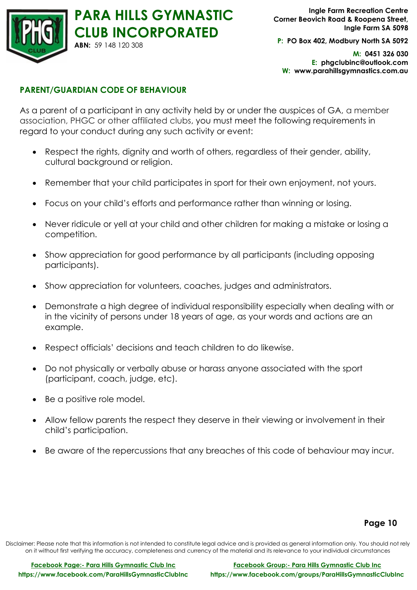

**P: PO Box 402, Modbury North SA 5092**

**M: 0451 326 030 E: phgclubinc@outlook.com W: www.parahillsgymnastics.com.au**

#### **PARENT/GUARDIAN CODE OF BEHAVIOUR**

As a parent of a participant in any activity held by or under the auspices of GA, a member association, PHGC or other affiliated clubs, you must meet the following requirements in regard to your conduct during any such activity or event:

- Respect the rights, dignity and worth of others, regardless of their gender, ability, cultural background or religion.
- Remember that your child participates in sport for their own enjoyment, not yours.
- Focus on your child's efforts and performance rather than winning or losing.
- Never ridicule or yell at your child and other children for making a mistake or losing a competition.
- Show appreciation for good performance by all participants (including opposing participants).
- Show appreciation for volunteers, coaches, judges and administrators.
- Demonstrate a high degree of individual responsibility especially when dealing with or in the vicinity of persons under 18 years of age, as your words and actions are an example.
- Respect officials' decisions and teach children to do likewise.
- Do not physically or verbally abuse or harass anyone associated with the sport (participant, coach, judge, etc).
- Be a positive role model.
- Allow fellow parents the respect they deserve in their viewing or involvement in their child's participation.
- Be aware of the repercussions that any breaches of this code of behaviour may incur.

#### **Page 10**